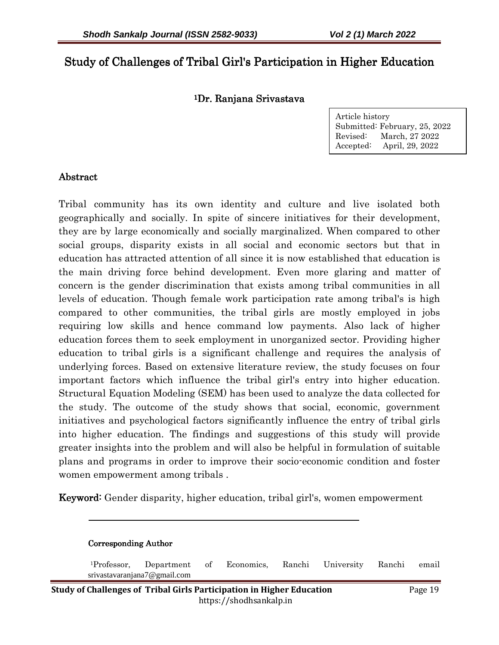# Study of Challenges of Tribal Girl's Participation in Higher Education

#### <sup>1</sup>Dr. Ranjana Srivastava

Article history Submitted: February, 25, 2022 Revised: March, 27 2022 Accepted: April, 29, 2022

### Abstract

-

Tribal community has its own identity and culture and live isolated both geographically and socially. In spite of sincere initiatives for their development, they are by large economically and socially marginalized. When compared to other social groups, disparity exists in all social and economic sectors but that in education has attracted attention of all since it is now established that education is the main driving force behind development. Even more glaring and matter of concern is the gender discrimination that exists among tribal communities in all levels of education. Though female work participation rate among tribal's is high compared to other communities, the tribal girls are mostly employed in jobs requiring low skills and hence command low payments. Also lack of higher education forces them to seek employment in unorganized sector. Providing higher education to tribal girls is a significant challenge and requires the analysis of underlying forces. Based on extensive literature review, the study focuses on four important factors which influence the tribal girl's entry into higher education. Structural Equation Modeling (SEM) has been used to analyze the data collected for the study. The outcome of the study shows that social, economic, government initiatives and psychological factors significantly influence the entry of tribal girls into higher education. The findings and suggestions of this study will provide greater insights into the problem and will also be helpful in formulation of suitable plans and programs in order to improve their socio-economic condition and foster women empowerment among tribals .

Keyword: Gender disparity, higher education, tribal girl's, women empowerment

| <b>Corresponding Author</b>                                                        |               |  |                              |  |  |        |       |
|------------------------------------------------------------------------------------|---------------|--|------------------------------|--|--|--------|-------|
| <sup>1</sup> Professor,<br>srivastavaranjana7@gmail.com                            | Department of |  | Economics, Ranchi University |  |  | Ranchi | email |
| dy of Challanges of Tribal Girls Particination in Higher Education<br>$p_{200}$ 10 |               |  |                              |  |  |        |       |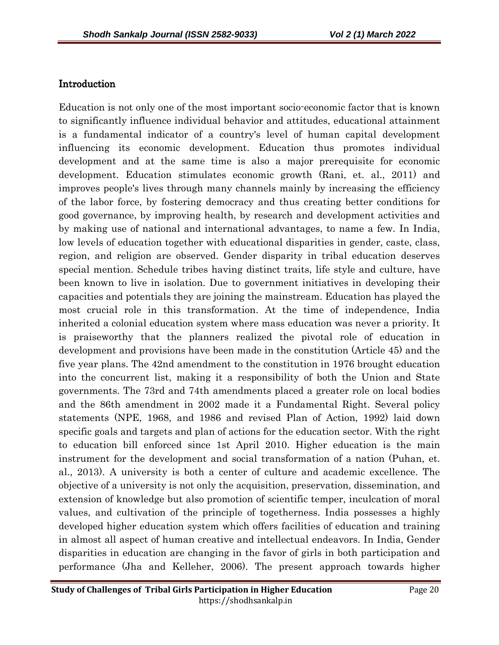### Introduction

Education is not only one of the most important socio-economic factor that is known to significantly influence individual behavior and attitudes, educational attainment is a fundamental indicator of a country's level of human capital development influencing its economic development. Education thus promotes individual development and at the same time is also a major prerequisite for economic development. Education stimulates economic growth (Rani, et. al., 2011) and improves people's lives through many channels mainly by increasing the efficiency of the labor force, by fostering democracy and thus creating better conditions for good governance, by improving health, by research and development activities and by making use of national and international advantages, to name a few. In India, low levels of education together with educational disparities in gender, caste, class, region, and religion are observed. Gender disparity in tribal education deserves special mention. Schedule tribes having distinct traits, life style and culture, have been known to live in isolation. Due to government initiatives in developing their capacities and potentials they are joining the mainstream. Education has played the most crucial role in this transformation. At the time of independence, India inherited a colonial education system where mass education was never a priority. It is praiseworthy that the planners realized the pivotal role of education in development and provisions have been made in the constitution (Article 45) and the five year plans. The 42nd amendment to the constitution in 1976 brought education into the concurrent list, making it a responsibility of both the Union and State governments. The 73rd and 74th amendments placed a greater role on local bodies and the 86th amendment in 2002 made it a Fundamental Right. Several policy statements (NPE, 1968, and 1986 and revised Plan of Action, 1992) laid down specific goals and targets and plan of actions for the education sector. With the right to education bill enforced since 1st April 2010. Higher education is the main instrument for the development and social transformation of a nation (Puhan, et. al., 2013). A university is both a center of culture and academic excellence. The objective of a university is not only the acquisition, preservation, dissemination, and extension of knowledge but also promotion of scientific temper, inculcation of moral values, and cultivation of the principle of togetherness. India possesses a highly developed higher education system which offers facilities of education and training in almost all aspect of human creative and intellectual endeavors. In India, Gender disparities in education are changing in the favor of girls in both participation and performance (Jha and Kelleher, 2006). The present approach towards higher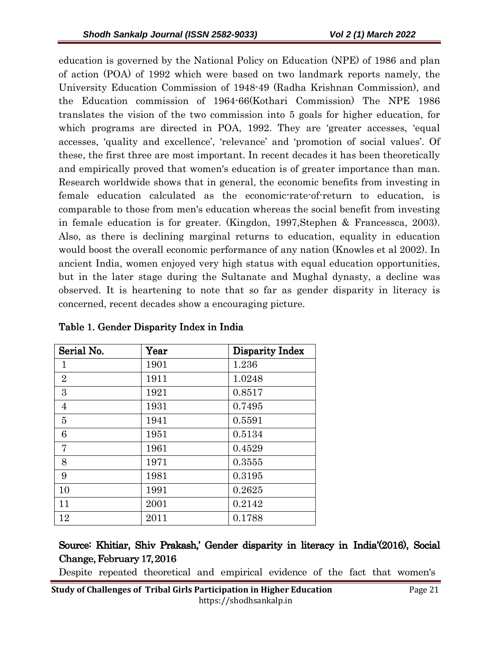education is governed by the National Policy on Education (NPE) of 1986 and plan of action (POA) of 1992 which were based on two landmark reports namely, the University Education Commission of 1948-49 (Radha Krishnan Commission), and the Education commission of 1964-66(Kothari Commission) The NPE 1986 translates the vision of the two commission into 5 goals for higher education, for which programs are directed in POA, 1992. They are 'greater accesses, 'equal accesses, 'quality and excellence', 'relevance' and 'promotion of social values'. Of these, the first three are most important. In recent decades it has been theoretically and empirically proved that women's education is of greater importance than man. Research worldwide shows that in general, the economic benefits from investing in female education calculated as the economic-rate-of-return to education, is comparable to those from men's education whereas the social benefit from investing in female education is for greater. (Kingdon, 1997,Stephen & Francessca, 2003). Also, as there is declining marginal returns to education, equality in education would boost the overall economic performance of any nation (Knowles et al 2002). In ancient India, women enjoyed very high status with equal education opportunities, but in the later stage during the Sultanate and Mughal dynasty, a decline was observed. It is heartening to note that so far as gender disparity in literacy is concerned, recent decades show a encouraging picture.

| Serial No.     | Year | <b>Disparity Index</b> |
|----------------|------|------------------------|
| $\mathbf{1}$   | 1901 | 1.236                  |
| $\overline{2}$ | 1911 | 1.0248                 |
| 3              | 1921 | 0.8517                 |
| $\overline{4}$ | 1931 | 0.7495                 |
| $\overline{5}$ | 1941 | 0.5591                 |
| 6              | 1951 | 0.5134                 |
| 7              | 1961 | 0.4529                 |
| 8              | 1971 | 0.3555                 |
| 9              | 1981 | 0.3195                 |
| 10             | 1991 | 0.2625                 |
| 11             | 2001 | 0.2142                 |
| 12             | 2011 | 0.1788                 |

Table 1. Gender Disparity Index in India

Source: Khitiar, Shiv Prakash,' Gender disparity in literacy in India'(2016), Social Change, February 17, 2016

Despite repeated theoretical and empirical evidence of the fact that women's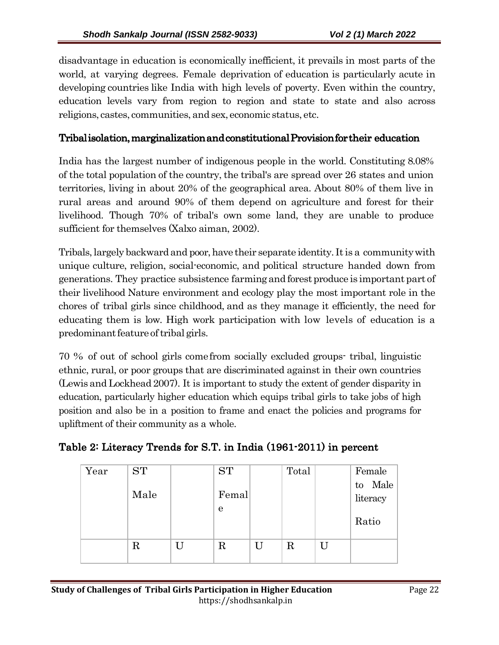disadvantage in education is economically inefficient, it prevails in most parts of the world, at varying degrees. Female deprivation of education is particularly acute in developing countries like India with high levels of poverty. Even within the country, education levels vary from region to region and state to state and also across religions, castes, communities, and sex, economic status, etc.

### Tribal isolation, marginalization and constitutional Provision for their education

India has the largest number of indigenous people in the world. Constituting 8.08% of the total population of the country, the tribal's are spread over 26 states and union territories, living in about 20% of the geographical area. About 80% of them live in rural areas and around 90% of them depend on agriculture and forest for their livelihood. Though 70% of tribal's own some land, they are unable to produce sufficient for themselves (Xalxo aiman, 2002).

Tribals, largely backward and poor, have their separate identity. It is a community with unique culture, religion, social-economic, and political structure handed down from generations. They practice subsistence farming and forest produce is important part of their livelihood Nature environment and ecology play the most important role in the chores of tribal girls since childhood, and as they manage it efficiently, the need for educating them is low. High work participation with low levels of education is a predominant feature of tribal girls.

70 % of out of school girls come from socially excluded groups- tribal, linguistic ethnic, rural, or poor groups that are discriminated against in their own countries (Lewis and Lockhead 2007). It is important to study the extent of gender disparity in education, particularly higher education which equips tribal girls to take jobs of high position and also be in a position to frame and enact the policies and programs for upliftment of their community as a whole.

| Year | <b>ST</b> |   | <b>ST</b>  |   | Total |   | Female              |
|------|-----------|---|------------|---|-------|---|---------------------|
|      | Male      |   | Femal      |   |       |   | to Male<br>literacy |
|      |           |   | e          |   |       |   | Ratio               |
|      | $\rm R$   | U | $_{\rm R}$ | U | R     | U |                     |

### Table 2: Literacy Trends for S.T. in India (1961-2011) in percent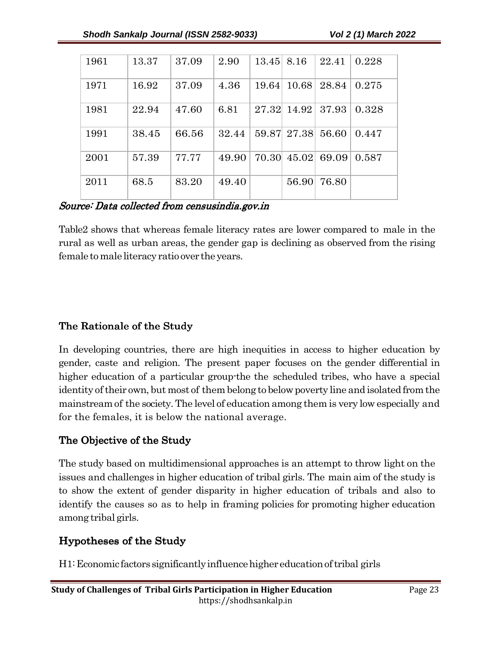| 1961 | 13.37 | 37.09 | 2.90  | 13.45 | 8.16        | 22.41 | 0.228 |
|------|-------|-------|-------|-------|-------------|-------|-------|
| 1971 | 16.92 | 37.09 | 4.36  | 19.64 | 10.68       | 28.84 | 0.275 |
| 1981 | 22.94 | 47.60 | 6.81  | 27.32 | 14.92       | 37.93 | 0.328 |
| 1991 | 38.45 | 66.56 | 32.44 |       | 59.87 27.38 | 56.60 | 0.447 |
| 2001 | 57.39 | 77.77 | 49.90 | 70.30 | 45.02       | 69.09 | 0.587 |
| 2011 | 68.5  | 83.20 | 49.40 |       | 56.90       | 76.80 |       |

Source: Data collected from censusindia.gov.in

Table2 shows that whereas female literacy rates are lower compared to male in the rural as well as urban areas, the gender gap is declining as observed from the rising female to male literacy ratio over the years.

## The Rationale of the Study

In developing countries, there are high inequities in access to higher education by gender, caste and religion. The present paper focuses on the gender differential in higher education of a particular group-the the scheduled tribes, who have a special identity of their own, but most of them belong to below poverty line and isolated from the mainstream of the society. The level of education among them is very low especially and for the females, it is below the national average.

## The Objective of the Study

The study based on multidimensional approaches is an attempt to throw light on the issues and challenges in higher education of tribal girls. The main aim of the study is to show the extent of gender disparity in higher education of tribals and also to identify the causes so as to help in framing policies for promoting higher education among tribal girls.

## Hypotheses of the Study the Study

H1: Economic factors significantly influence higher education of tribal girls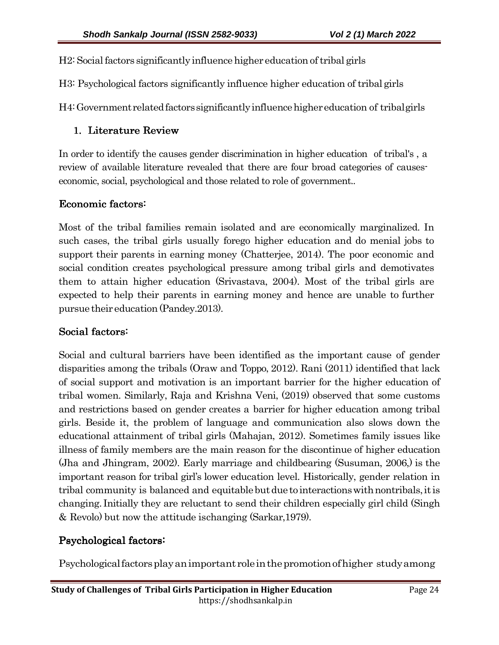H2: Social factors significantly influence higher education of tribal girls

H3: Psychological factors significantly influence higher education of tribal girls

H4: Government related factors significantly influence higher education of tribal girls

### 1. Literature Review

In order to identify the causes gender discrimination in higher education of tribal's , a review of available literature revealed that there are four broad categories of causeseconomic, social, psychological and those related to role of government..

### Economic factors:

Most of the tribal families remain isolated and are economically marginalized. In such cases, the tribal girls usually forego higher education and do menial jobs to support their parents in earning money (Chatterjee, 2014). The poor economic and social condition creates psychological pressure among tribal girls and demotivates them to attain higher education (Srivastava, 2004). Most of the tribal girls are expected to help their parents in earning money and hence are unable to further pursue their education (Pandey.2013).

### Social factors:

Social and cultural barriers have been identified as the important cause of gender disparities among the tribals (Oraw and Toppo, 2012). Rani (2011) identified that lack of social support and motivation is an important barrier for the higher education of tribal women. Similarly, Raja and Krishna Veni, (2019) observed that some customs and restrictions based on gender creates a barrier for higher education among tribal girls. Beside it, the problem of language and communication also slows down the educational attainment of tribal girls (Mahajan, 2012). Sometimes family issues like illness of family members are the main reason for the discontinue of higher education (Jha and Jhingram, 2002). Early marriage and childbearing (Susuman, 2006,) is the important reason for tribal girl's lower education level. Historically, gender relation in tribal community is balanced and equitable but due to interactions with nontribals, it is changing. Initially they are reluctant to send their children especially girl child (Singh & Revolo) but now the attitude is changing (Sarkar,1979).

### Psychological factors:

Psychological factors play an important role in the promotion of higher study among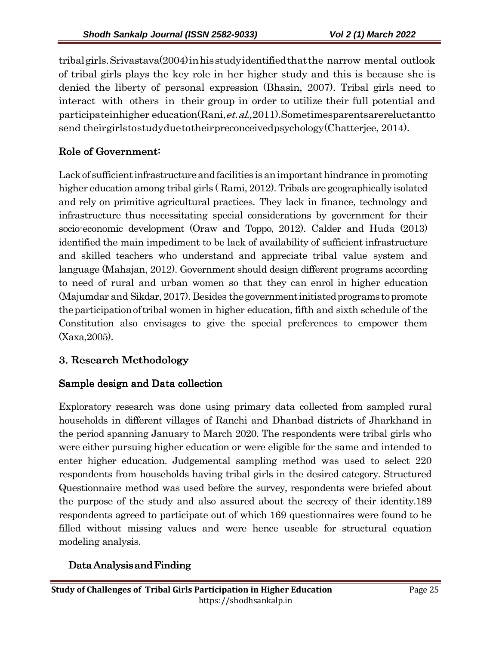tribal girls. Srivastava(2004) in his study identified that the narrow mental outlook of tribal girls plays the key role in her higher study and this is because she is denied the liberty of personal expression (Bhasin, 2007). Tribal girls need to interact with others in their group in order to utilize their full potential and participate in higher education (Rani, et. al., 2011). Sometimes parents are reluctant to send their girls to study due to their preconceived psychology (Chatterjee, 2014).

# Role of Government:

Lack of sufficient infrastructure and facilities is an important hindrance in promoting higher education among tribal girls ( Rami, 2012). Tribals are geographically isolated and rely on primitive agricultural practices. They lack in finance, technology and infrastructure thus necessitating special considerations by government for their socio-economic development (Oraw and Toppo, 2012). Calder and Huda (2013) identified the main impediment to be lack of availability of sufficient infrastructure and skilled teachers who understand and appreciate tribal value system and language (Mahajan, 2012). Government should design different programs according to need of rural and urban women so that they can enrol in higher education (Majumdar and Sikdar, 2017). Besides the government initiated programs to promote the participation of tribal women in higher education, fifth and sixth schedule of the Constitution also envisages to give the special preferences to empower them (Xaxa,2005).

# 3. Research Methodology

# Sample design and Data collection

Exploratory research was done using primary data collected from sampled rural households in different villages of Ranchi and Dhanbad districts of Jharkhand in the period spanning January to March 2020. The respondents were tribal girls who were either pursuing higher education or were eligible for the same and intended to enter higher education. Judgemental sampling method was used to select 220 respondents from households having tribal girls in the desired category. Structured Questionnaire method was used before the survey, respondents were briefed about the purpose of the study and also assured about the secrecy of their identity.189 respondents agreed to participate out of which 169 questionnaires were found to be filled without missing values and were hence useable for structural equation modeling analysis.

# Data Analysis and Finding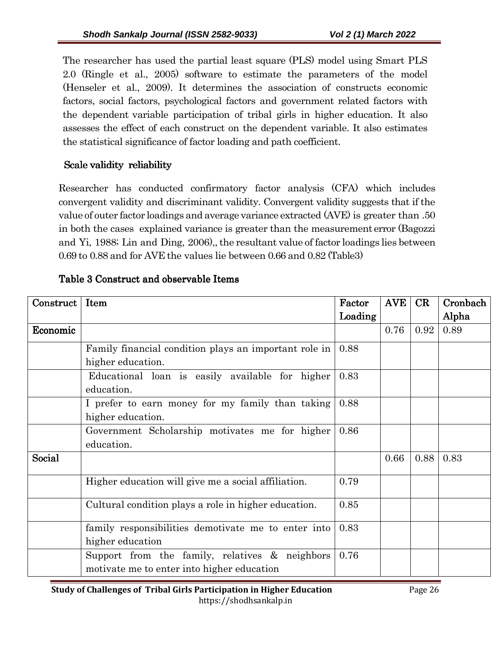The researcher has used the partial least square (PLS) model using Smart PLS 2.0 (Ringle et al., 2005) software to estimate the parameters of the model (Henseler et al., 2009). It determines the association of constructs economic factors, social factors, psychological factors and government related factors with the dependent variable participation of tribal girls in higher education. It also assesses the effect of each construct on the dependent variable. It also estimates the statistical significance of factor loading and path coefficient.

## Scale validity reliability

Researcher has conducted confirmatory factor analysis (CFA) which includes convergent validity and discriminant validity. Convergent validity suggests that if the value of outer factor loadings and average variance extracted (AVE) is greater than .50 in both the cases explained variance is greater than the measurement error (Bagozzi and Yi, 1988; Lin and Ding, 2006),, the resultant value of factor loadings lies between 0.69 to 0.88 and for AVE the values lie between 0.66 and 0.82 (Table 3)

| Construct | Item                                                  | Factor  | <b>AVE</b> | CR   | Cronbach |
|-----------|-------------------------------------------------------|---------|------------|------|----------|
|           |                                                       | Loading |            |      | Alpha    |
| Economic  |                                                       |         | 0.76       | 0.92 | 0.89     |
|           | Family financial condition plays an important role in | 0.88    |            |      |          |
|           | higher education.                                     |         |            |      |          |
|           | Educational loan is easily available for higher       | 0.83    |            |      |          |
|           | education.                                            |         |            |      |          |
|           | I prefer to earn money for my family than taking      | 0.88    |            |      |          |
|           | higher education.                                     |         |            |      |          |
|           | Government Scholarship motivates me for higher        | 0.86    |            |      |          |
|           | education.                                            |         |            |      |          |
| Social    |                                                       |         | 0.66       | 0.88 | 0.83     |
|           | Higher education will give me a social affiliation.   | 0.79    |            |      |          |
|           | Cultural condition plays a role in higher education.  | 0.85    |            |      |          |
|           | family responsibilities demotivate me to enter into   | 0.83    |            |      |          |
|           | higher education                                      |         |            |      |          |
|           | Support from the family, relatives & neighbors        | 0.76    |            |      |          |
|           | motivate me to enter into higher education            |         |            |      |          |

## Table 3 Construct and observable Items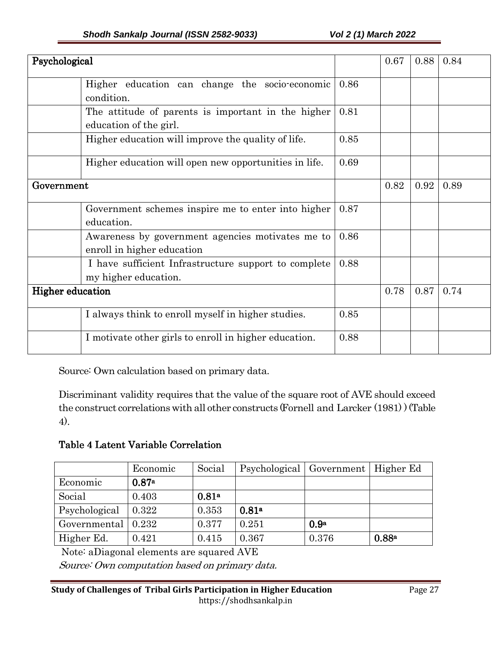| Psychological                                                                  |      | 0.67 | 0.88 | 0.84 |
|--------------------------------------------------------------------------------|------|------|------|------|
| Higher education can change the socio-economic<br>condition.                   | 0.86 |      |      |      |
| The attitude of parents is important in the higher<br>education of the girl.   | 0.81 |      |      |      |
| Higher education will improve the quality of life.                             | 0.85 |      |      |      |
| Higher education will open new opportunities in life.                          | 0.69 |      |      |      |
| Government                                                                     |      | 0.82 | 0.92 | 0.89 |
| Government schemes inspire me to enter into higher<br>education.               | 0.87 |      |      |      |
| Awareness by government agencies motivates me to<br>enroll in higher education | 0.86 |      |      |      |
| I have sufficient Infrastructure support to complete<br>my higher education.   | 0.88 |      |      |      |
| <b>Higher education</b>                                                        |      | 0.78 | 0.87 | 0.74 |
| I always think to enroll myself in higher studies.                             | 0.85 |      |      |      |
| I motivate other girls to enroll in higher education.                          | 0.88 |      |      |      |

Source: Own calculation based on primary data.

Discriminant validity requires that the value of the square root of AVE should exceed the construct correlations with all other constructs (Fornell and Larcker (1981) ) (Table 4).

### Table 4 Latent Variable Correlation

|               | Economic     | Social            | Psychological   Government   Higher Ed |                  |       |
|---------------|--------------|-------------------|----------------------------------------|------------------|-------|
| Economic      | 0.87a        |                   |                                        |                  |       |
| Social        | 0.403        | 0.81 <sup>a</sup> |                                        |                  |       |
| Psychological | 0.322        | 0.353             | 0.81 <sup>a</sup>                      |                  |       |
| Governmental  | $\mid$ 0.232 | 0.377             | 0.251                                  | 0.9 <sup>a</sup> |       |
| Higher Ed.    | 0.421        | 0.415             | 0.367                                  | 0.376            | 0.88a |

Note: aDiagonal elements are squared AVE

Source: Own computation based on primary data.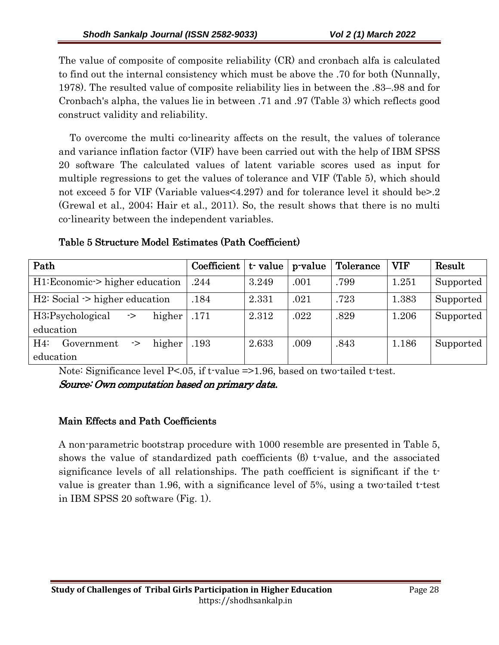The value of composite of composite reliability (CR) and cronbach alfa is calculated to find out the internal consistency which must be above the .70 for both (Nunnally, 1978). The resulted value of composite reliability lies in between the .83–.98 and for Cronbach's alpha, the values lie in between .71 and .97 (Table 3) which reflects good construct validity and reliability.

 To overcome the multi co-linearity affects on the result, the values of tolerance and variance inflation factor (VIF) have been carried out with the help of IBM SPSS 20 software The calculated values of latent variable scores used as input for multiple regressions to get the values of tolerance and VIF (Table 5), which should not exceed 5 for VIF (Variable values<4.297) and for tolerance level it should be>.2 (Grewal et al., 2004; Hair et al., 2011). So, the result shows that there is no multi co-linearity between the independent variables.

| Path                                      | Coefficient | t value | p-value | Tolerance | <b>VIF</b> | Result    |
|-------------------------------------------|-------------|---------|---------|-----------|------------|-----------|
| H1:Economic-> higher education            | .244        | 3.249   | .001    | .799      | 1.251      | Supported |
| $H2: Social \rightarrow higher education$ | .184        | 2.331   | .021    | .723      | 1.383      | Supported |
| higher<br>H3; Psychological<br>->         | .171        | 2.312   | .022    | .829      | 1.206      | Supported |
| education                                 |             |         |         |           |            |           |
| higher<br>H4<br>Government<br>->          | .193        | 2.633   | .009    | .843      | 1.186      | Supported |
| education                                 |             |         |         |           |            |           |

Table 5 Structure Model Estimates (Path Coefficient)

Note: Significance level P<.05, if t-value =>1.96, based on two-tailed t-test. Source: Own computation based on primary data.

## Main Effects and Path Coefficients

A non-parametric bootstrap procedure with 1000 resemble are presented in Table 5, shows the value of standardized path coefficients (β) t-value, and the associated significance levels of all relationships. The path coefficient is significant if the tvalue is greater than 1.96, with a significance level of 5%, using a two-tailed t-test in IBM SPSS 20 software (Fig. 1).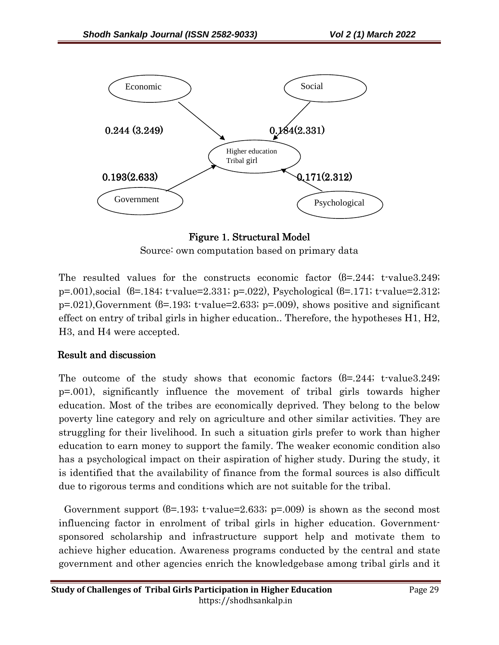

Figure 1. Structural Model Source: own computation based on primary data

The resulted values for the constructs economic factor  $(6=244; t-value3.249;$ p=.001),social (β=.184; t-value=2.331; p=.022), Psychological (β=.171; t-value=2.312;  $p=0.021$ ), Government ( $\beta=193$ ; t-value=2.633;  $p=0.009$ ), shows positive and significant effect on entry of tribal girls in higher education.. Therefore, the hypotheses H1, H2, H3, and H4 were accepted.

### Result and discussion

The outcome of the study shows that economic factors  $(6=244; t-value3.249;$ p=.001), significantly influence the movement of tribal girls towards higher education. Most of the tribes are economically deprived. They belong to the below poverty line category and rely on agriculture and other similar activities. They are struggling for their livelihood. In such a situation girls prefer to work than higher education to earn money to support the family. The weaker economic condition also has a psychological impact on their aspiration of higher study. During the study, it is identified that the availability of finance from the formal sources is also difficult due to rigorous terms and conditions which are not suitable for the tribal.

Government support  $(\beta = 193; t \cdot value = 2.633; p = .009)$  is shown as the second most influencing factor in enrolment of tribal girls in higher education. Governmentsponsored scholarship and infrastructure support help and motivate them to achieve higher education. Awareness programs conducted by the central and state government and other agencies enrich the knowledgebase among tribal girls and it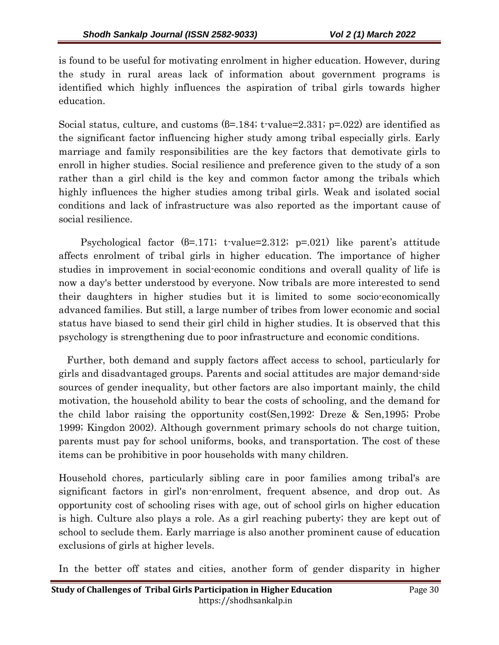is found to be useful for motivating enrolment in higher education. However, during the study in rural areas lack of information about government programs is identified which highly influences the aspiration of tribal girls towards higher education.

Social status, culture, and customs  $(6=184; t$ -value=2.331; p=.022) are identified as the significant factor influencing higher study among tribal especially girls. Early marriage and family responsibilities are the key factors that demotivate girls to enroll in higher studies. Social resilience and preference given to the study of a son rather than a girl child is the key and common factor among the tribals which highly influences the higher studies among tribal girls. Weak and isolated social conditions and lack of infrastructure was also reported as the important cause of social resilience.

 Psychological factor (β=.171; t-value=2.312; p=.021) like parent's attitude affects enrolment of tribal girls in higher education. The importance of higher studies in improvement in social-economic conditions and overall quality of life is now a day's better understood by everyone. Now tribals are more interested to send their daughters in higher studies but it is limited to some socio-economically advanced families. But still, a large number of tribes from lower economic and social status have biased to send their girl child in higher studies. It is observed that this psychology is strengthening due to poor infrastructure and economic conditions.

 Further, both demand and supply factors affect access to school, particularly for girls and disadvantaged groups. Parents and social attitudes are major demand-side sources of gender inequality, but other factors are also important mainly, the child motivation, the household ability to bear the costs of schooling, and the demand for the child labor raising the opportunity cost(Sen,1992: Dreze & Sen,1995; Probe 1999; Kingdon 2002). Although government primary schools do not charge tuition, parents must pay for school uniforms, books, and transportation. The cost of these items can be prohibitive in poor households with many children.

Household chores, particularly sibling care in poor families among tribal's are significant factors in girl's non-enrolment, frequent absence, and drop out. As opportunity cost of schooling rises with age, out of school girls on higher education is high. Culture also plays a role. As a girl reaching puberty; they are kept out of school to seclude them. Early marriage is also another prominent cause of education exclusions of girls at higher levels.

In the better off states and cities, another form of gender disparity in higher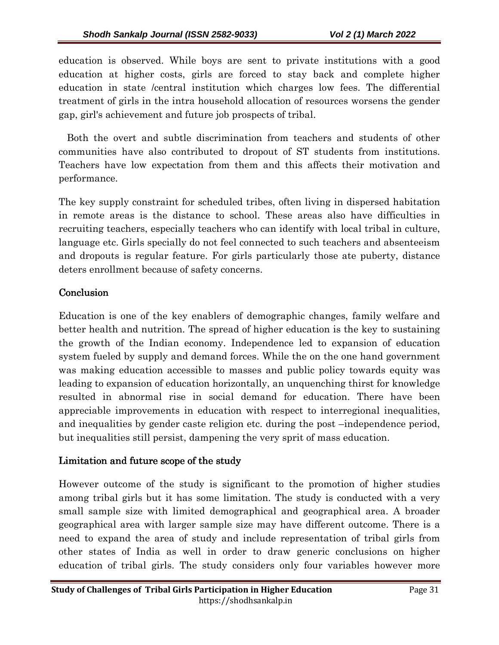education is observed. While boys are sent to private institutions with a good education at higher costs, girls are forced to stay back and complete higher education in state /central institution which charges low fees. The differential treatment of girls in the intra household allocation of resources worsens the gender gap, girl's achievement and future job prospects of tribal.

 Both the overt and subtle discrimination from teachers and students of other communities have also contributed to dropout of ST students from institutions. Teachers have low expectation from them and this affects their motivation and performance.

The key supply constraint for scheduled tribes, often living in dispersed habitation in remote areas is the distance to school. These areas also have difficulties in recruiting teachers, especially teachers who can identify with local tribal in culture, language etc. Girls specially do not feel connected to such teachers and absenteeism and dropouts is regular feature. For girls particularly those ate puberty, distance deters enrollment because of safety concerns.

### Conclusion

Education is one of the key enablers of demographic changes, family welfare and better health and nutrition. The spread of higher education is the key to sustaining the growth of the Indian economy. Independence led to expansion of education system fueled by supply and demand forces. While the on the one hand government was making education accessible to masses and public policy towards equity was leading to expansion of education horizontally, an unquenching thirst for knowledge resulted in abnormal rise in social demand for education. There have been appreciable improvements in education with respect to interregional inequalities, and inequalities by gender caste religion etc. during the post –independence period, but inequalities still persist, dampening the very sprit of mass education.

### Limitation and future scope of the study

However outcome of the study is significant to the promotion of higher studies among tribal girls but it has some limitation. The study is conducted with a very small sample size with limited demographical and geographical area. A broader geographical area with larger sample size may have different outcome. There is a need to expand the area of study and include representation of tribal girls from other states of India as well in order to draw generic conclusions on higher education of tribal girls. The study considers only four variables however more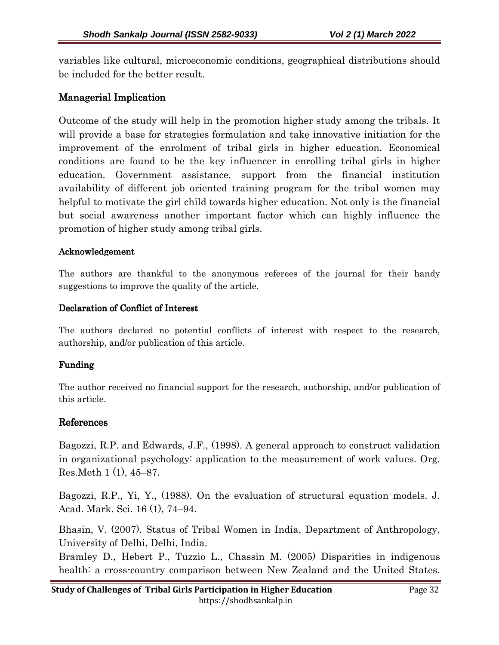variables like cultural, microeconomic conditions, geographical distributions should be included for the better result.

### Managerial Implication

Outcome of the study will help in the promotion higher study among the tribals. It will provide a base for strategies formulation and take innovative initiation for the improvement of the enrolment of tribal girls in higher education. Economical conditions are found to be the key influencer in enrolling tribal girls in higher education. Government assistance, support from the financial institution availability of different job oriented training program for the tribal women may helpful to motivate the girl child towards higher education. Not only is the financial but social awareness another important factor which can highly influence the promotion of higher study among tribal girls.

#### Acknowledgement

The authors are thankful to the anonymous referees of the journal for their handy suggestions to improve the quality of the article.

#### Declaration of Conflict of Interest

The authors declared no potential conflicts of interest with respect to the research, authorship, and/or publication of this article.

### Funding Funding

The author received no financial support for the research, authorship, and/or publication of this article.

### References

Bagozzi, R.P. and Edwards, J.F., (1998). A general approach to construct validation in organizational psychology: application to the measurement of work values. Org. Res.Meth 1 (1), 45–87.

Bagozzi, R.P., Yi, Y., (1988). On the evaluation of structural equation models. J. Acad. Mark. Sci. 16 (1), 74–94.

Bhasin, V. (2007). Status of Tribal Women in India, Department of Anthropology, University of Delhi, Delhi, India.

Bramley D., Hebert P., Tuzzio L., Chassin M. (2005) Disparities in indigenous health: a cross-country comparison between New Zealand and the United States.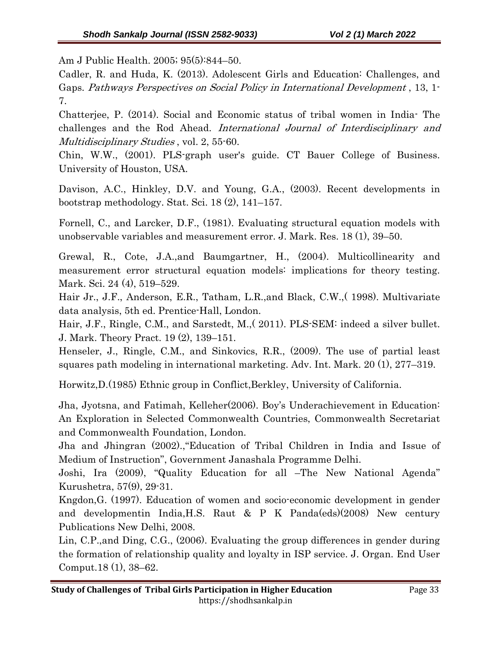Am J Public Health. 2005; 95(5):844–50.

Cadler, R. and Huda, K. (2013). Adolescent Girls and Education: Challenges, and Gaps. Pathways Perspectives on Social Policy in International Development , 13, 1- 7.

Chatterjee, P. (2014). Social and Economic status of tribal women in India- The challenges and the Rod Ahead. International Journal of Interdisciplinary and Multidisciplinary Studies, vol. 2, 55-60.

Chin, W.W., (2001). PLS-graph user's guide. CT Bauer College of Business. University of Houston, USA.

Davison, A.C., Hinkley, D.V. and Young, G.A., (2003). Recent developments in bootstrap methodology. Stat. Sci. 18 (2), 141–157.

Fornell, C., and Larcker, D.F., (1981). Evaluating structural equation models with unobservable variables and measurement error. J. Mark. Res. 18 (1), 39–50.

Grewal, R., Cote, J.A.,and Baumgartner, H., (2004). Multicollinearity and measurement error structural equation models: implications for theory testing. Mark. Sci. 24 (4), 519–529.

Hair Jr., J.F., Anderson, E.R., Tatham, L.R.,and Black, C.W.,( 1998). Multivariate data analysis, 5th ed. Prentice-Hall, London.

Hair, J.F., Ringle, C.M., and Sarstedt, M.,( 2011). PLS-SEM: indeed a silver bullet. J. Mark. Theory Pract. 19 (2), 139–151.

Henseler, J., Ringle, C.M., and Sinkovics, R.R., (2009). The use of partial least squares path modeling in international marketing. Adv. Int. Mark. 20 (1), 277–319.

Horwitz,D.(1985) Ethnic group in Conflict,Berkley, University of California.

Jha, Jyotsna, and Fatimah, Kelleher(2006). Boy's Underachievement in Education: An Exploration in Selected Commonwealth Countries, Commonwealth Secretariat and Commonwealth Foundation, London.

Jha and Jhingran (2002).,"Education of Tribal Children in India and Issue of Medium of Instruction", Government Janashala Programme Delhi.

Joshi, Ira (2009), "Quality Education for all –The New National Agenda" Kurushetra, 57(9), 29-31.

Kngdon,G. (1997). Education of women and socio-economic development in gender and developmentin India,H.S. Raut & P K Panda(eds)(2008) New century Publications New Delhi, 2008.

Lin, C.P.,and Ding, C.G., (2006). Evaluating the group differences in gender during the formation of relationship quality and loyalty in ISP service. J. Organ. End User Comput.18 (1), 38–62.